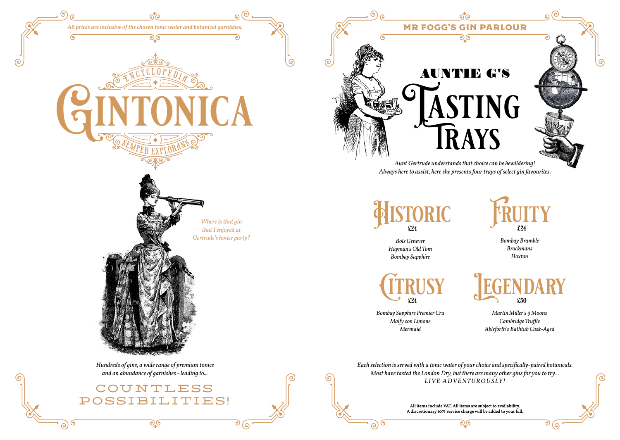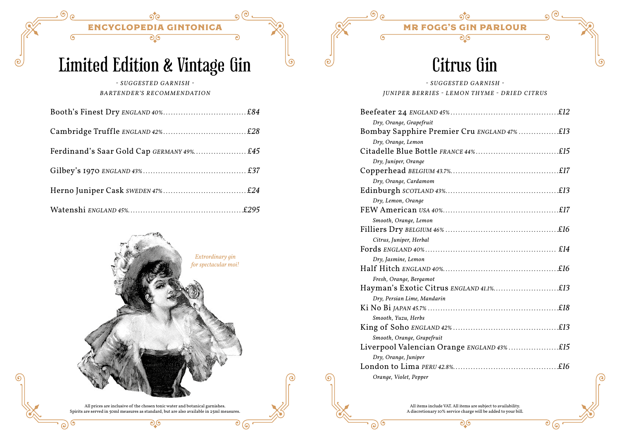$\sqrt{2}$ 

Ċ

ಾ

 $\circ$  ල

### Limited Edition & Vintage Gin

*- SUGGESTED GARNISH - BARTENDER'S RECOMMENDATION*

| Ferdinand's Saar Gold Cap GERMANY 49% £45 |  |
|-------------------------------------------|--|
|                                           |  |
|                                           |  |
|                                           |  |



All prices are inclusive of the chosen tonic water and botanical garnishes. Spirits are served in 50ml measures as standard, but are also available in 25ml measures. ಲಿ.७

#### Citrus Gin

م

#### *- SUGGESTED GARNISH - JUNIPER BERRIES - LEMON THYME - DRIED CITRUS*

| Dry, Orange, Grapefruit                    |
|--------------------------------------------|
| Bombay Sapphire Premier Cru ENGLAND 47%£13 |
| Dry, Orange, Lemon                         |
|                                            |
| Dry, Juniper, Orange                       |
|                                            |
| Dry, Orange, Cardamom                      |
|                                            |
| Dry, Lemon, Orange                         |
|                                            |
| Smooth, Orange, Lemon                      |
|                                            |
| Citrus, Juniper, Herbal                    |
|                                            |
| Dry, Jasmine, Lemon                        |
|                                            |
| Fresh, Orange, Bergamot                    |
|                                            |
| Dry, Persian Lime, Mandarin                |
|                                            |
| Smooth, Yuzu, Herbs                        |
|                                            |
| Smooth, Orange, Grapefruit                 |
| Liverpool Valencian Orange ENGLAND 43%£15  |
| Dry, Orange, Juniper                       |
|                                            |
| Orange, Violet, Pepper                     |

All items include VAT. All items are subject to availability. A discretionary 10% service charge will be added to your bill. ಲಿ.७

<u>(၅</u>

 $\odot)$ 

 $\overline{\mathcal{O}}\mathcal{O}$ ්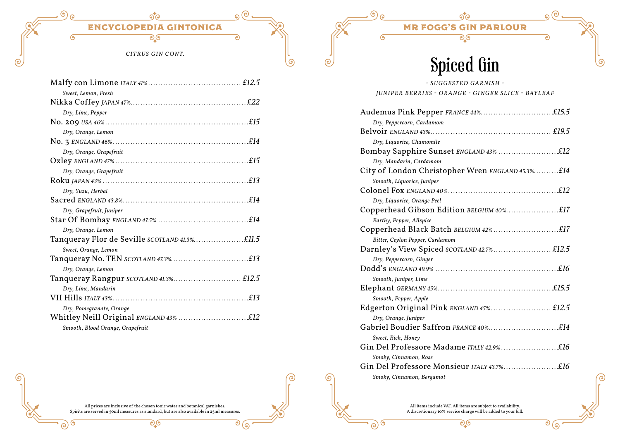$\overline{G}$ 

G

ര

Ċ

ಾ

 $\overline{\circ}$   $\overline{\circ}$ 

ௌ

*CITRUS GIN CONT.*

| Sweet, Lemon, Fresh                    |  |
|----------------------------------------|--|
|                                        |  |
| Dry, Lime, Pepper                      |  |
|                                        |  |
| Dry, Orange, Lemon                     |  |
|                                        |  |
| Dry, Orange, Grapefruit                |  |
|                                        |  |
| Dry, Orange, Grapefruit                |  |
|                                        |  |
| Dry, Yuzu, Herbal                      |  |
|                                        |  |
| Dry, Grapefruit, Juniper               |  |
|                                        |  |
| Dry, Orange, Lemon                     |  |
|                                        |  |
| Sweet, Orange, Lemon                   |  |
|                                        |  |
| Dry, Orange, Lemon                     |  |
| Tanqueray Rangpur SCOTLAND 41.3% £12.5 |  |
| Dry, Lime, Mandarin                    |  |
|                                        |  |
| Dry, Pomegranate, Orange               |  |
| Whitley Neill Original ENGLAND 43% £12 |  |
| Smooth, Blood Orange, Grapefruit       |  |



ಲ್ಲಿ

*- SUGGESTED GARNISH - J U N I P E R B E RRI E S - O R AN G E - G I N G E R S L I C E - B AY L E AF*

Spiced Gin

ত

 $\overline{\mathcal{O}}\mathcal{O}$ ්

6

 $\overline{\mathcal{O}}$ 

 $\odot$ 

| Audemus Pink Pepper FRANCE 44%£15.5              |
|--------------------------------------------------|
| Dry, Peppercorn, Cardamom                        |
|                                                  |
| Dry, Liquorice, Chamomile                        |
|                                                  |
| Dry, Mandarin, Cardamom                          |
| City of London Christopher Wren ENGLAND 45.3%£14 |
| Smooth, Liquorice, Juniper                       |
|                                                  |
| Dry, Liquorice, Orange Peel                      |
| Copperhead Gibson Edition BELGIUM 40%£17         |
| Earthy, Pepper, Allspice                         |
|                                                  |
| Bitter, Ceylon Pepper, Cardamom                  |
| Darnley's View Spiced SCOTLAND 42.7% £12.5       |
| Dry, Peppercorn, Ginger                          |
|                                                  |
| Smooth, Juniper, Lime                            |
|                                                  |
| Smooth, Pepper, Apple                            |
| Edgerton Original Pink ENGLAND 45% £12.5         |
| Dry, Orange, Juniper                             |
|                                                  |
| Sweet, Rich, Honey                               |
| Gin Del Professore Madame ITALY 42.9%£16         |
| Smoky, Cinnamon, Rose                            |
| Gin Del Professore Monsieur ITALY 43.7%£16       |
| Smoky, Cinnamon, Bergamot                        |

All items include VAT. All items are subject to availability. A discretionary 10% service charge will be added to your bill. ಲ್ಲಿ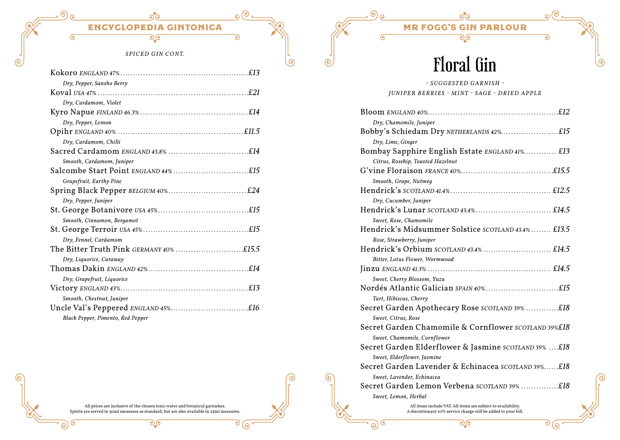$\Omega$ 

 $\overline{\circ}$   $\overline{\circ}$ 

 $\odot$ 

#### *SPICED GIN CONT.*

| Dry, Pepper, Sansho Berry               |
|-----------------------------------------|
|                                         |
| Dry, Cardamom, Violet                   |
|                                         |
| Dry, Pepper, Lemon                      |
|                                         |
| Dry, Cardamom, Chilli                   |
|                                         |
| Smooth, Cardamom, Juniper               |
|                                         |
| Grapefruit, Earthy Pine                 |
|                                         |
| Dry, Pepper, Juniper                    |
|                                         |
| Smooth, Cinnamon, Bergamot              |
|                                         |
| Dry, Fennel, Cardamom                   |
| The Bitter Truth Pink GERMANY 40% £15.5 |
| Dry, Liquorice, Caraway                 |
|                                         |
| Dry, Grapefruit, Liquorice              |
|                                         |
| Smooth, Chestnut, Juniper               |
|                                         |
| Black Pepper, Pimento, Red Pepper       |

All prices are inclusive of the chosen tonic water and botanical garnishes. Spirits are served in 50ml measures as standard, but are also available in 25ml measures. ಲ್ಲಿ

### ENCYCLOPEDIA GINTONICA MR FOGG'S GIN PARLOUR

ಾ

 $\overline{G}$ 

 $\mathcal{C}$ 

 $\odot)$ 

### Floral Gin

*- SUGGESTED GARNISH - JUNIPER BERRIES - MINT - SAGE - DRIED APPLE*

| Dry, Chamomile, Juniper                                        |
|----------------------------------------------------------------|
| Bobby's Schiedam Dry NETHERLANDS 42%£15                        |
| Dry, Lime, Ginger                                              |
| Bombay Sapphire English Estate ENGLAND 41% £13                 |
| Citrus, Rosehip, Toasted Hazelnut                              |
|                                                                |
| Smooth, Grape, Nutmeq                                          |
|                                                                |
| Dry, Cucumber, Juniper                                         |
|                                                                |
| Sweet, Rose, Chamomile                                         |
| Hendrick's Midsummer Solstice SCOTLAND 43.4% £13.5             |
| Rose, Strawberry, Juniper                                      |
|                                                                |
| Bitter, Lotus Flower, Wormwood                                 |
|                                                                |
| Sweet, Cherry Blossom, Yuzu                                    |
|                                                                |
| Tart, Hibiscus, Cherry                                         |
| Secret Garden Apothecary Rose SCOTLAND 39% £18                 |
| Sweet, Citrus, Rose                                            |
| Secret Garden Chamomile & Cornflower SCOTLAND 39%£18           |
| Sweet, Chamomile, Cornflower                                   |
| Secret Garden Elderflower & Jasmine scorLAND 39% £18           |
| Sweet, Elderflower, Jasmine                                    |
| Secret Garden Lavender & Echinacea scotLAND 39%£18             |
| Sweet, Lavender, Echinacea                                     |
| Secret Garden Lemon Verbena SCOTLAND 39% £18                   |
| Sweet, Lemon, Herbal                                           |
| All items include VAT. All items are subject to availability.  |
| A discretionary 10% service charge will be added to your bill. |

<u>್ರಾ</u>

 $\overline{G}$ 

0

ര

 $\overline{\mathcal{O}}\mathcal{O}$ ි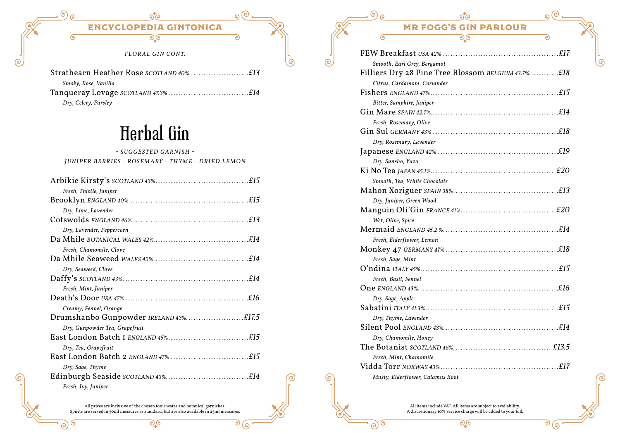

### Herbal Gin

*- SUGGESTED GARNISH - J U N I P E R B E RRI E S - RO S E M ARY - T H Y M E - D RI E D L E M O N*

| Fresh, Thistle, Juniper               |
|---------------------------------------|
|                                       |
| Dry, Lime, Lavender                   |
|                                       |
| Dry, Lavender, Peppercorn             |
|                                       |
| Fresh, Chamomile, Clove               |
|                                       |
| Dry, Seaweed, Clove                   |
|                                       |
| Fresh, Mint, Juniper                  |
|                                       |
| Creamy, Fennel, Orange                |
| Drumshanbo Gunpowder IRELAND 43%£17.5 |
| Dry, Gunpowder Tea, Grapefruit        |
|                                       |
| Dry, Tea, Grapefruit                  |
|                                       |
| Dry, Sage, Thyme                      |
|                                       |
| Fresh, Ivy, Juniper                   |

All prices are inclusive of the chosen tonic water and botanical garnishes. Spirits are served in 50ml measures as standard, but are also available in 25ml measures. ಲ್ಲಿ

0

ര

ೌ $\overline{\mathbb{G}}$ ್

|                              | <b>MR FOGG'S GIN PARLOUR</b>                       |    |
|------------------------------|----------------------------------------------------|----|
| (၅                           | ಲ್ಲಂ                                               | e. |
|                              |                                                    |    |
| Smooth, Earl Grey, Bergamot  |                                                    |    |
|                              | Filliers Dry 28 Pine Tree Blossom BELGIUM 43.7%£18 |    |
| Citrus, Cardamom, Coriander  |                                                    |    |
|                              |                                                    |    |
| Bitter, Samphire, Juniper    |                                                    |    |
|                              |                                                    |    |
| Fresh, Rosemary, Olive       |                                                    |    |
|                              |                                                    |    |
| Dry, Rosemary, Lavender      |                                                    |    |
|                              |                                                    |    |
| Dry, Sansho, Yuzu            |                                                    |    |
|                              |                                                    |    |
| Smooth, Tea, White Chocolate |                                                    |    |
|                              |                                                    |    |
| Dry, Juniper, Green Wood     |                                                    |    |
|                              |                                                    |    |
| Wet, Olive, Spice            |                                                    |    |
|                              |                                                    |    |
| Fresh, Elderflower, Lemon    |                                                    |    |
|                              |                                                    |    |
| Eroch Sago Mint              |                                                    |    |

ە

| Wet, Olive, Spice                |  |
|----------------------------------|--|
|                                  |  |
| Fresh, Elderflower, Lemon        |  |
|                                  |  |
| Fresh, Sage, Mint                |  |
|                                  |  |
| Fresh, Basil, Fennel             |  |
|                                  |  |
| Dry, Sage, Apple                 |  |
|                                  |  |
| Dry, Thyme, Lavender             |  |
|                                  |  |
| Dry, Chamomile, Honey            |  |
|                                  |  |
| Fresh, Mint, Chamomile           |  |
|                                  |  |
| Musty, Elderflower, Calamus Root |  |

All items include VAT. All items are subject to availability. A discretionary 10% service charge will be added to your bill. ಲಿ.७

<u>(၅</u>

 $\odot)$ 

 $\overline{\mathcal{O}}\mathcal{O}$ ි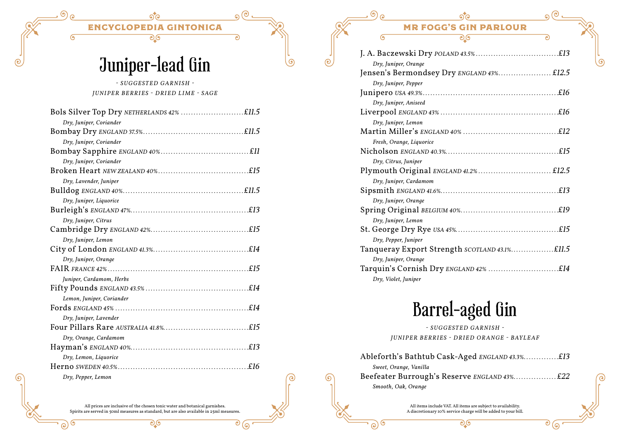$\overline{G}$ 

 $\epsilon$ 

Ċ

ত

 $\overline{\circ}$  (ඉ

ௌ

# Juniper-lead Gin

*- SUGGESTED GARNISH - JUNIPER BERRIES - DRIED LIME - SAGE*

| Dry, Juniper, Coriander   |
|---------------------------|
|                           |
| Dry, Juniper, Coriander   |
|                           |
| Dry, Juniper, Coriander   |
|                           |
| Dry, Lavender, Juniper    |
|                           |
| Dry, Juniper, Liquorice   |
|                           |
| Dry, Juniper, Citrus      |
|                           |
| Dry, Juniper, Lemon       |
|                           |
| Dry, Juniper, Orange      |
|                           |
| Juniper, Cardamom, Herbs  |
|                           |
| Lemon, Juniper, Coriander |
|                           |
| Dry, Juniper, Lavender    |
|                           |
| Dry, Orange, Cardamom     |
|                           |
| Dry, Lemon, Liquorice     |
|                           |
| Dry, Pepper, Lemon        |

All prices are inclusive of the chosen tonic water and botanical garnishes. Spirits are served in 50ml measures as standard, but are also available in 25ml measures. ಲಿ.७

### ENCYCLOPEDIA GINTONICA MR FOGG'S GIN PARLOUR

ಾ

 $\overline{\mathcal{O}}(\overline{\mathcal{O}})$ 

6

<u>(၅</u>

 $\odot)$ 

| Dry, Juniper, Orange     |
|--------------------------|
|                          |
| Dry, Juniper, Pepper     |
|                          |
| Dry, Juniper, Aniseed    |
|                          |
| Dry, Juniper, Lemon      |
|                          |
| Fresh, Orange, Liquorice |
|                          |
| Dry, Citrus, Juniper     |
|                          |
| Dry, Juniper, Cardamom   |
|                          |
| Dry, Juniper, Orange     |
|                          |
| Dry, Juniper, Lemon      |
|                          |
| Dry, Pepper, Juniper     |
|                          |
| Dry, Juniper, Orange     |
|                          |
| Dry, Violet, Juniper     |

### Barrel-aged Gin

*- SUGGESTED GARNISH - J U N I P E R B E RRI E S - D RI E D O R AN G E - B AY L E AF*

Ableforth's Bathtub Cask-Aged **ENGLAND** 43.3%..............£13 *Sweet, Orange, Vanilla* Beefeater Burrough's Reserve *ENGLAND 43%. . . £22 Smooth, Oak, Orange*

> All items include VAT. All items are subject to availability. A discretionary 10% service charge will be added to your bill. စ) (၅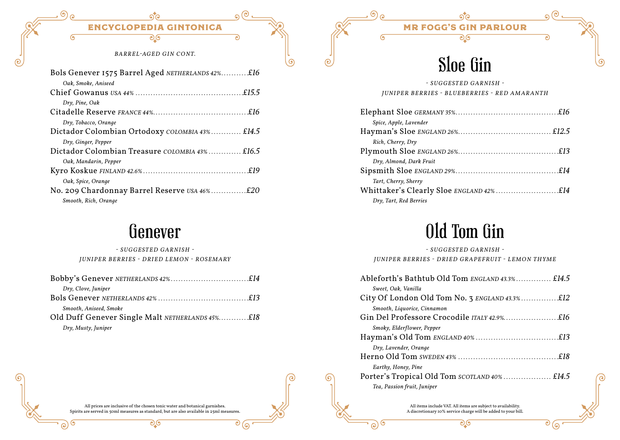Ġ

ত

 $\overline{\circ}$   $\overline{\circ}$ 

 $\odot$ 

*BARREL-AGED GIN CONT.*

| Bols Genever 1575 Barrel Aged NETHERLANDS 42%£16 |
|--------------------------------------------------|
| Oak, Smoke, Aniseed                              |
|                                                  |
| Dry, Pine, Oak                                   |
|                                                  |
| Dry, Tobacco, Orange                             |
| Dictador Colombian Ortodoxy COLOMBIA 43% £14.5   |
| Dry, Ginger, Pepper                              |
| Dictador Colombian Treasure COLOMBIA 43% £16.5   |
| Oak, Mandarin, Pepper                            |
|                                                  |
| Oak, Spice, Orange                               |
| No. 209 Chardonnay Barrel Reserve USA 46%£20     |
| Smooth, Rich, Orange                             |

#### Genever

*- SUGGESTED GARNISH - J U N I P E R B E RRI E S - D RI E D L E M O N - RO S E M ARY*

| Dry, Clove, Juniper                             |  |
|-------------------------------------------------|--|
|                                                 |  |
| Smooth, Aniseed, Smoke                          |  |
| Old Duff Genever Single Malt NETHERLANDS 45%£18 |  |
| Dry, Musty, Juniper                             |  |

# Sloe Gin

ত

*- SUGGESTED GARNISH - JUNIPER BERRIES - BLUEBERRIES - RED AMARANTH*

6

<u>(၅</u>

 $\odot)$ 

| Spice, Apple, Lavender  |  |
|-------------------------|--|
|                         |  |
| Rich, Cherry, Dry       |  |
|                         |  |
| Dry, Almond, Dark Fruit |  |
|                         |  |
| Tart, Cherry, Sherry    |  |
|                         |  |
| Dry, Tart, Red Berries  |  |

# Old Tom Gin

*- SUGGESTED GARNISH - JUNIPER BERRIES - DRIED GRAPEFRUIT - LEMON THYME*

All items include VAT. All items are subject to availability. A discretionary 10% service charge will be added to your bill. ಲಿ.७

ಲ್ಲಿ

 $\overline{G}$ 

 $\epsilon$ 

ര

 $\overline{\circ}$  (ඉ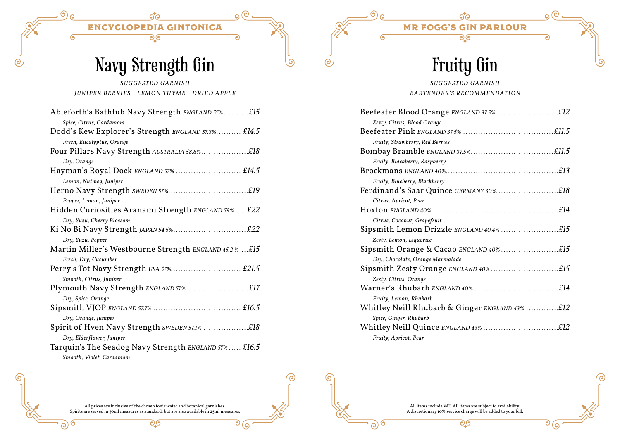$\overline{G}$ 

e)

Ċ

ত

 $\odot$  ල

ഭ

# Navy Strength Gin

*- SUGGESTED GARNISH - JUNIPER BERRIES - LEMON THYME - DRIED APPLE*

| Ableforth's Bathtub Navy Strength ENGLAND 57%£15        |
|---------------------------------------------------------|
| Spice, Citrus, Cardamom                                 |
| Dodd's Kew Explorer's Strength ENGLAND 57.3% £14.5      |
| Fresh, Eucalyptus, Orange                               |
| Four Pillars Navy Strength AUSTRALIA 58.8%£18           |
| Dry, Orange                                             |
| Hayman's Royal Dock ENGLAND 57%  £14.5                  |
| Lemon, Nutmeg, Juniper                                  |
|                                                         |
| Pepper, Lemon, Juniper                                  |
| Hidden Curiosities Aranami Strength ENGLAND 59% £22     |
| Dry, Yuzu, Cherry Blossom                               |
|                                                         |
| Dry, Yuzu, Pepper                                       |
| Martin Miller's Westbourne Strength ENGLAND 45.2 %  £15 |
| Fresh, Dry, Cucumber                                    |
|                                                         |
| Smooth, Citrus, Juniper                                 |
|                                                         |
| Dry, Spice, Orange                                      |
|                                                         |
| Dry, Orange, Juniper                                    |
| Spirit of Hven Navy Strength SWEDEN 57.1% £18           |
| Dry, Elderflower, Juniper                               |
| Tarquin's The Seadog Navy Strength ENGLAND 57% £16.5    |
| Smooth, Violet, Cardamom                                |

# Fruity Gin

ত

 $\odot$  ල

6

G

 $\odot$ 

#### *- SUGGESTED GARNISH - BARTENDER'S RECOMMENDATION*

| Zesty, Citrus, Blood Orange                    |  |
|------------------------------------------------|--|
|                                                |  |
| Fruity, Strawberry, Red Berries                |  |
|                                                |  |
| Fruity, Blackberry, Raspberry                  |  |
|                                                |  |
| Fruity, Blueberry, Blackberry                  |  |
|                                                |  |
| Citrus, Apricot, Pear                          |  |
|                                                |  |
| Citrus, Coconut, Grapefruit                    |  |
|                                                |  |
| Zesty, Lemon, Liquorice                        |  |
|                                                |  |
| Dry, Chocolate, Orange Marmalade               |  |
| Sipsmith Zesty Orange ENGLAND 40%£15           |  |
| Zesty, Citrus, Orange                          |  |
|                                                |  |
| Fruity, Lemon, Rhubarb                         |  |
| Whitley Neill Rhubarb & Ginger ENGLAND 43% £12 |  |
| Spice, Ginger, Rhubarb                         |  |
|                                                |  |
| Fruity, Apricot, Pear                          |  |

All prices are inclusive of the chosen tonic water and botanical garnishes. Spirits are served in 50ml measures as standard, but are also available in 25ml measures.

ಲ್ಲಿ

All items include VAT. All items are subject to availability. A discretionary 10% service charge will be added to your bill. ಲ್ಲಿ